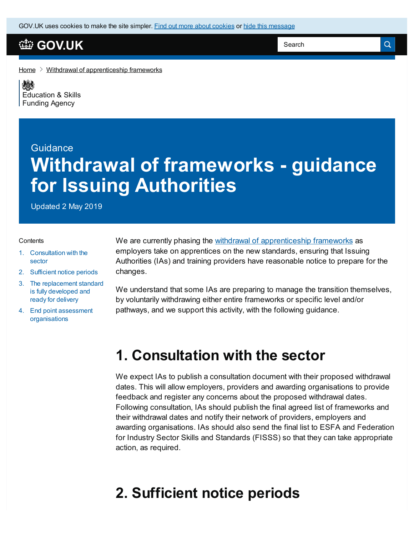GOV.UK uses [cookies](https://www.gov.uk/help/cookies) to make the site simpler. Find out more about cookies or hide this message

### **[GOV.UK](https://www.gov.uk)**

Search

 $\alpha$ 

[Home](https://www.gov.uk/)  $\geq$  Withdrawal of [apprenticeship](https://www.gov.uk/government/publications/removal-of-apprenticeship-frameworks) frameworks

《感》 [Education](https://www.gov.uk/government/organisations/education-and-skills-funding-agency) & Skills Funding Agency

# Guidance **Withdrawal of frameworks - guidance for Issuing Authorities**

Updated 2 May 2019

#### **Contents**

- 1. [Consultation](#page-0-0) with the sector
- 2. [Sufficient](#page-0-1) notice periods
- 3. The [replacement](#page-1-0) standard is fully developed and ready for delivery
- 4. End point assessment [organisations](#page-1-1)

We are currently phasing the withdrawal of [apprenticeship](https://www.gov.uk/government/publications/removal-of-apprenticeship-frameworks/information-about-the-withdrawal-of-apprenticeship-frameworks) frameworks as employers take on apprentices on the new standards, ensuring that Issuing Authorities (IAs) and training providers have reasonable notice to prepare for the changes.

We understand that some IAs are preparing to manage the transition themselves, by voluntarily withdrawing either entire frameworks or specific level and/or pathways, and we support this activity, with the following guidance.

### <span id="page-0-0"></span>**1. Consultation with the sector**

We expect IAs to publish a consultation document with their proposed withdrawal dates. This will allow employers, providers and awarding organisations to provide feedback and register any concerns about the proposed withdrawal dates. Following consultation, IAs should publish the final agreed list of frameworks and their withdrawal dates and notify their network of providers, employers and awarding organisations. IAs should also send the final list to ESFA and Federation for Industry Sector Skills and Standards (FISSS) so that they can take appropriate action, as required.

## <span id="page-0-1"></span>**2. Sufficient notice periods**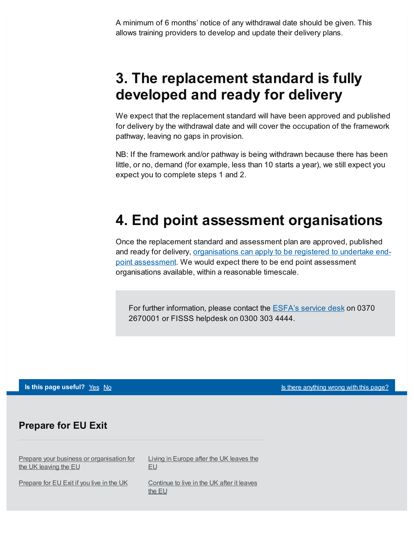A minimum of 6 months' notice of any withdrawal date should be given. This allows training providers to develop and update their delivery plans.

## <span id="page-1-0"></span>**3. The replacement standard is fully developed and ready for delivery**

We expect that the replacement standard will have been approved and published for delivery by the withdrawal date and will cover the occupation of the framework pathway, leaving no gaps in provision.

NB: If the framework and/or pathway is being withdrawn because there has been little, or no, demand (for example, less than 10 starts a year), we still expect you expect you to complete steps 1 and 2.

# <span id="page-1-1"></span>**4. End point assessment organisations**

Once the replacement standard and assessment plan are approved, published and ready for delivery, [organisations](https://www.gov.uk/government/collections/register-of-apprentice-assessment-organisations) can apply to be registered to undertake endpoint assessment. We would expect there to be end point assessment organisations available, within a reasonable timescale.

For further information, please contact the **[ESFA's](mailto:sde.servicedesk@education.gov.uk) service desk** on 0370 2670001 or FISSS helpdesk on 0300 303 4444.

#### **Is this page useful?** [Yes](https://www.gov.uk/contact/govuk) [No](https://www.gov.uk/contact/govuk) Is the No Is there [anything](https://www.gov.uk/contact/govuk) wrong with this page?

#### **Prepare for EU Exit**

Prepare your business or [organisation](https://www.gov.uk/business-uk-leaving-eu) for the UK leaving the EU

[Prepare](https://www.gov.uk/prepare-eu-exit) for EU Exit if you live in the UK

Living in [Europe](https://www.gov.uk/uk-nationals-living-eu) after the UK leaves the EU

[Continue](https://www.gov.uk/staying-uk-eu-citizen) to live in the UK after it leaves the EU